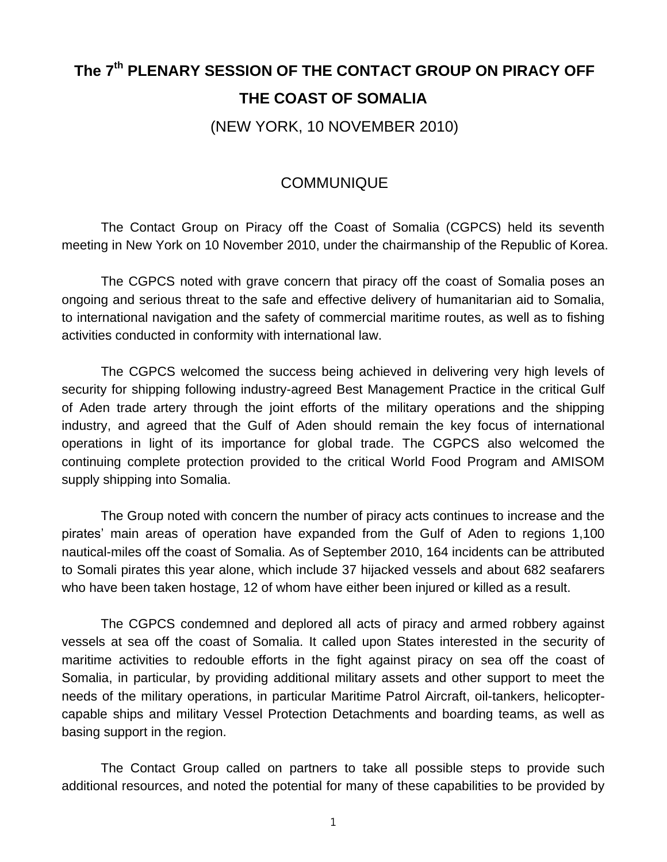## **The 7th PLENARY SESSION OF THE CONTACT GROUP ON PIRACY OFF THE COAST OF SOMALIA**

(NEW YORK, 10 NOVEMBER 2010)

## **COMMUNIQUE**

The Contact Group on Piracy off the Coast of Somalia (CGPCS) held its seventh meeting in New York on 10 November 2010, under the chairmanship of the Republic of Korea.

The CGPCS noted with grave concern that piracy off the coast of Somalia poses an ongoing and serious threat to the safe and effective delivery of humanitarian aid to Somalia, to international navigation and the safety of commercial maritime routes, as well as to fishing activities conducted in conformity with international law.

The CGPCS welcomed the success being achieved in delivering very high levels of security for shipping following industry-agreed Best Management Practice in the critical Gulf of Aden trade artery through the joint efforts of the military operations and the shipping industry, and agreed that the Gulf of Aden should remain the key focus of international operations in light of its importance for global trade. The CGPCS also welcomed the continuing complete protection provided to the critical World Food Program and AMISOM supply shipping into Somalia.

The Group noted with concern the number of piracy acts continues to increase and the pirates' main areas of operation have expanded from the Gulf of Aden to regions 1,100 nautical-miles off the coast of Somalia. As of September 2010, 164 incidents can be attributed to Somali pirates this year alone, which include 37 hijacked vessels and about 682 seafarers who have been taken hostage, 12 of whom have either been injured or killed as a result.

The CGPCS condemned and deplored all acts of piracy and armed robbery against vessels at sea off the coast of Somalia. It called upon States interested in the security of maritime activities to redouble efforts in the fight against piracy on sea off the coast of Somalia, in particular, by providing additional military assets and other support to meet the needs of the military operations, in particular Maritime Patrol Aircraft, oil-tankers, helicoptercapable ships and military Vessel Protection Detachments and boarding teams, as well as basing support in the region.

The Contact Group called on partners to take all possible steps to provide such additional resources, and noted the potential for many of these capabilities to be provided by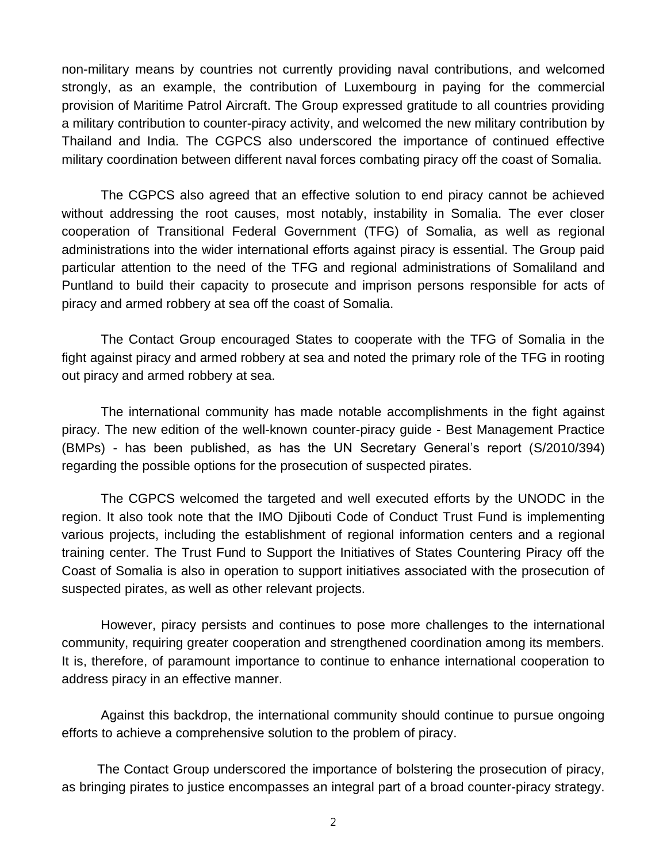non-military means by countries not currently providing naval contributions, and welcomed strongly, as an example, the contribution of Luxembourg in paying for the commercial provision of Maritime Patrol Aircraft. The Group expressed gratitude to all countries providing a military contribution to counter-piracy activity, and welcomed the new military contribution by Thailand and India. The CGPCS also underscored the importance of continued effective military coordination between different naval forces combating piracy off the coast of Somalia.

The CGPCS also agreed that an effective solution to end piracy cannot be achieved without addressing the root causes, most notably, instability in Somalia. The ever closer cooperation of Transitional Federal Government (TFG) of Somalia, as well as regional administrations into the wider international efforts against piracy is essential. The Group paid particular attention to the need of the TFG and regional administrations of Somaliland and Puntland to build their capacity to prosecute and imprison persons responsible for acts of piracy and armed robbery at sea off the coast of Somalia.

The Contact Group encouraged States to cooperate with the TFG of Somalia in the fight against piracy and armed robbery at sea and noted the primary role of the TFG in rooting out piracy and armed robbery at sea.

The international community has made notable accomplishments in the fight against piracy. The new edition of the well-known counter-piracy guide - Best Management Practice (BMPs) - has been published, as has the UN Secretary General's report (S/2010/394) regarding the possible options for the prosecution of suspected pirates.

The CGPCS welcomed the targeted and well executed efforts by the UNODC in the region. It also took note that the IMO Djibouti Code of Conduct Trust Fund is implementing various projects, including the establishment of regional information centers and a regional training center. The Trust Fund to Support the Initiatives of States Countering Piracy off the Coast of Somalia is also in operation to support initiatives associated with the prosecution of suspected pirates, as well as other relevant projects.

However, piracy persists and continues to pose more challenges to the international community, requiring greater cooperation and strengthened coordination among its members. It is, therefore, of paramount importance to continue to enhance international cooperation to address piracy in an effective manner.

Against this backdrop, the international community should continue to pursue ongoing efforts to achieve a comprehensive solution to the problem of piracy.

The Contact Group underscored the importance of bolstering the prosecution of piracy, as bringing pirates to justice encompasses an integral part of a broad counter-piracy strategy.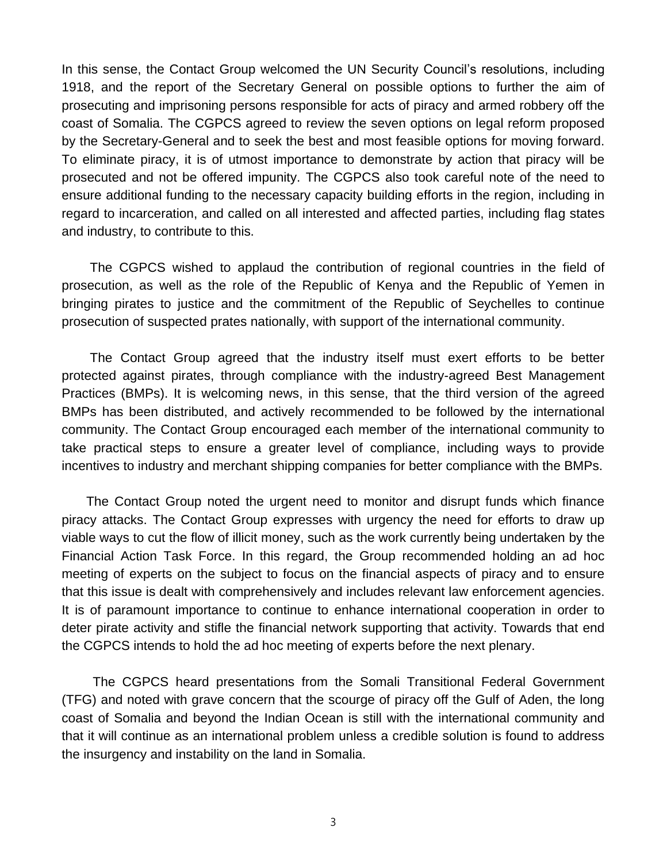In this sense, the Contact Group welcomed the UN Security Council's resolutions, including 1918, and the report of the Secretary General on possible options to further the aim of prosecuting and imprisoning persons responsible for acts of piracy and armed robbery off the coast of Somalia. The CGPCS agreed to review the seven options on legal reform proposed by the Secretary-General and to seek the best and most feasible options for moving forward. To eliminate piracy, it is of utmost importance to demonstrate by action that piracy will be prosecuted and not be offered impunity. The CGPCS also took careful note of the need to ensure additional funding to the necessary capacity building efforts in the region, including in regard to incarceration, and called on all interested and affected parties, including flag states and industry, to contribute to this.

The CGPCS wished to applaud the contribution of regional countries in the field of prosecution, as well as the role of the Republic of Kenya and the Republic of Yemen in bringing pirates to justice and the commitment of the Republic of Seychelles to continue prosecution of suspected prates nationally, with support of the international community.

The Contact Group agreed that the industry itself must exert efforts to be better protected against pirates, through compliance with the industry-agreed Best Management Practices (BMPs). It is welcoming news, in this sense, that the third version of the agreed BMPs has been distributed, and actively recommended to be followed by the international community. The Contact Group encouraged each member of the international community to take practical steps to ensure a greater level of compliance, including ways to provide incentives to industry and merchant shipping companies for better compliance with the BMPs.

The Contact Group noted the urgent need to monitor and disrupt funds which finance piracy attacks. The Contact Group expresses with urgency the need for efforts to draw up viable ways to cut the flow of illicit money, such as the work currently being undertaken by the Financial Action Task Force. In this regard, the Group recommended holding an ad hoc meeting of experts on the subject to focus on the financial aspects of piracy and to ensure that this issue is dealt with comprehensively and includes relevant law enforcement agencies. It is of paramount importance to continue to enhance international cooperation in order to deter pirate activity and stifle the financial network supporting that activity. Towards that end the CGPCS intends to hold the ad hoc meeting of experts before the next plenary.

The CGPCS heard presentations from the Somali Transitional Federal Government (TFG) and noted with grave concern that the scourge of piracy off the Gulf of Aden, the long coast of Somalia and beyond the Indian Ocean is still with the international community and that it will continue as an international problem unless a credible solution is found to address the insurgency and instability on the land in Somalia.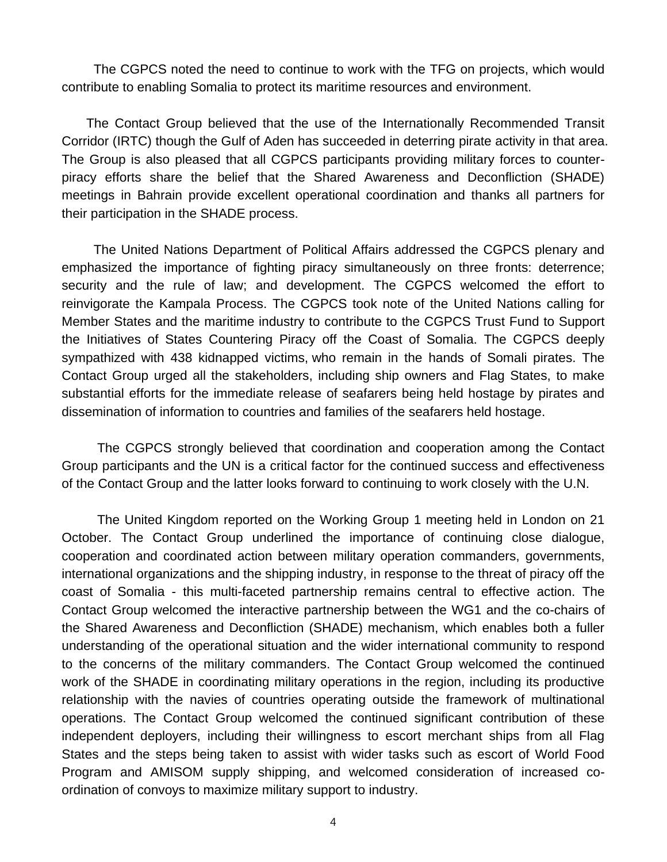The CGPCS noted the need to continue to work with the TFG on projects, which would contribute to enabling Somalia to protect its maritime resources and environment.

The Contact Group believed that the use of the Internationally Recommended Transit Corridor (IRTC) though the Gulf of Aden has succeeded in deterring pirate activity in that area. The Group is also pleased that all CGPCS participants providing military forces to counterpiracy efforts share the belief that the Shared Awareness and Deconfliction (SHADE) meetings in Bahrain provide excellent operational coordination and thanks all partners for their participation in the SHADE process.

The United Nations Department of Political Affairs addressed the CGPCS plenary and emphasized the importance of fighting piracy simultaneously on three fronts: deterrence; security and the rule of law; and development. The CGPCS welcomed the effort to reinvigorate the Kampala Process. The CGPCS took note of the United Nations calling for Member States and the maritime industry to contribute to the CGPCS Trust Fund to Support the Initiatives of States Countering Piracy off the Coast of Somalia. The CGPCS deeply sympathized with 438 kidnapped victims, who remain in the hands of Somali pirates. The Contact Group urged all the stakeholders, including ship owners and Flag States, to make substantial efforts for the immediate release of seafarers being held hostage by pirates and dissemination of information to countries and families of the seafarers held hostage.

The CGPCS strongly believed that coordination and cooperation among the Contact Group participants and the UN is a critical factor for the continued success and effectiveness of the Contact Group and the latter looks forward to continuing to work closely with the U.N.

The United Kingdom reported on the Working Group 1 meeting held in London on 21 October. The Contact Group underlined the importance of continuing close dialogue, cooperation and coordinated action between military operation commanders, governments, international organizations and the shipping industry, in response to the threat of piracy off the coast of Somalia - this multi-faceted partnership remains central to effective action. The Contact Group welcomed the interactive partnership between the WG1 and the co-chairs of the Shared Awareness and Deconfliction (SHADE) mechanism, which enables both a fuller understanding of the operational situation and the wider international community to respond to the concerns of the military commanders. The Contact Group welcomed the continued work of the SHADE in coordinating military operations in the region, including its productive relationship with the navies of countries operating outside the framework of multinational operations. The Contact Group welcomed the continued significant contribution of these independent deployers, including their willingness to escort merchant ships from all Flag States and the steps being taken to assist with wider tasks such as escort of World Food Program and AMISOM supply shipping, and welcomed consideration of increased coordination of convoys to maximize military support to industry.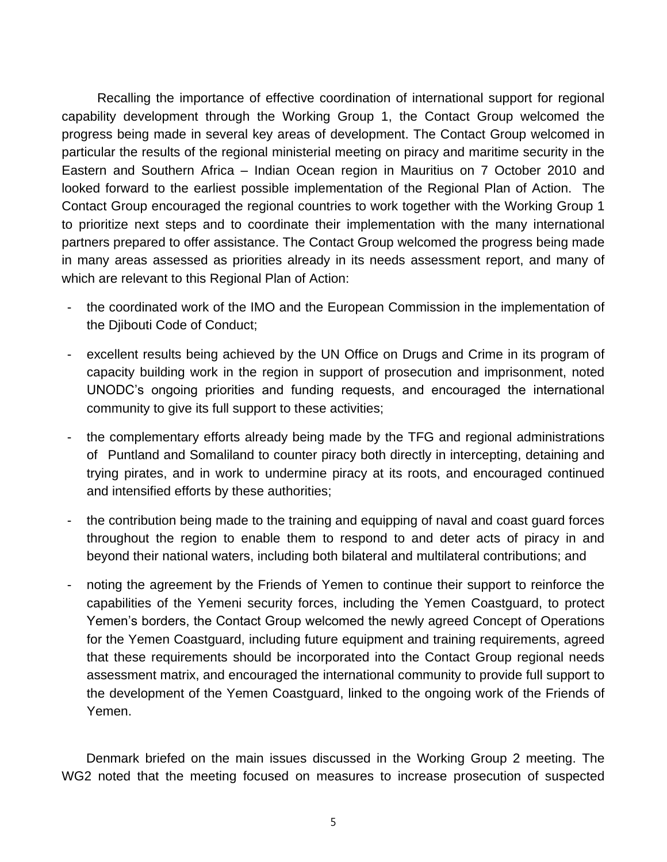Recalling the importance of effective coordination of international support for regional capability development through the Working Group 1, the Contact Group welcomed the progress being made in several key areas of development. The Contact Group welcomed in particular the results of the regional ministerial meeting on piracy and maritime security in the Eastern and Southern Africa – Indian Ocean region in Mauritius on 7 October 2010 and looked forward to the earliest possible implementation of the Regional Plan of Action. The Contact Group encouraged the regional countries to work together with the Working Group 1 to prioritize next steps and to coordinate their implementation with the many international partners prepared to offer assistance. The Contact Group welcomed the progress being made in many areas assessed as priorities already in its needs assessment report, and many of which are relevant to this Regional Plan of Action:

- the coordinated work of the IMO and the European Commission in the implementation of the Djibouti Code of Conduct;
- excellent results being achieved by the UN Office on Drugs and Crime in its program of capacity building work in the region in support of prosecution and imprisonment, noted UNODC's ongoing priorities and funding requests, and encouraged the international community to give its full support to these activities;
- the complementary efforts already being made by the TFG and regional administrations of Puntland and Somaliland to counter piracy both directly in intercepting, detaining and trying pirates, and in work to undermine piracy at its roots, and encouraged continued and intensified efforts by these authorities;
- the contribution being made to the training and equipping of naval and coast guard forces throughout the region to enable them to respond to and deter acts of piracy in and beyond their national waters, including both bilateral and multilateral contributions; and
- noting the agreement by the Friends of Yemen to continue their support to reinforce the capabilities of the Yemeni security forces, including the Yemen Coastguard, to protect Yemen's borders, the Contact Group welcomed the newly agreed Concept of Operations for the Yemen Coastguard, including future equipment and training requirements, agreed that these requirements should be incorporated into the Contact Group regional needs assessment matrix, and encouraged the international community to provide full support to the development of the Yemen Coastguard, linked to the ongoing work of the Friends of Yemen.

Denmark briefed on the main issues discussed in the Working Group 2 meeting. The WG2 noted that the meeting focused on measures to increase prosecution of suspected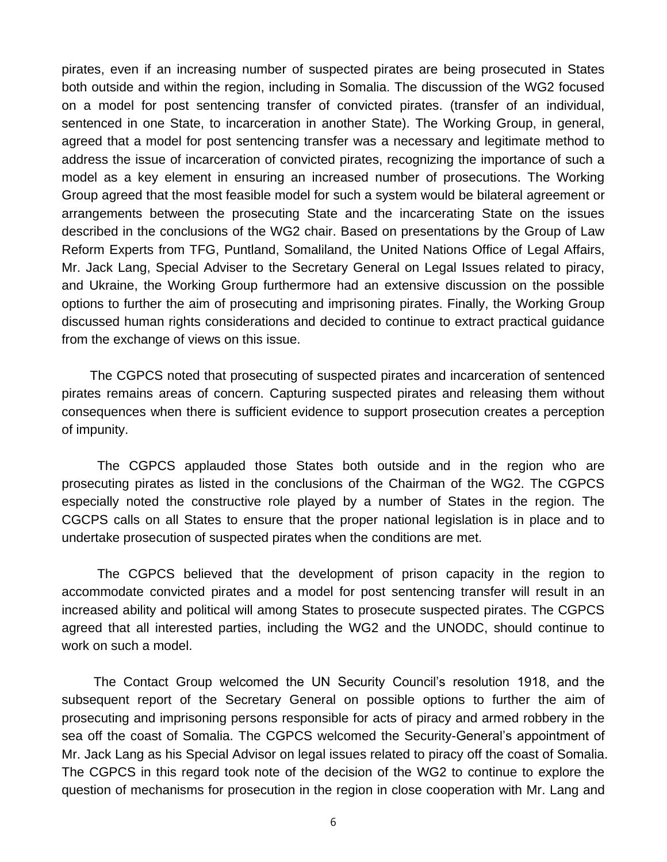pirates, even if an increasing number of suspected pirates are being prosecuted in States both outside and within the region, including in Somalia. The discussion of the WG2 focused on a model for post sentencing transfer of convicted pirates. (transfer of an individual, sentenced in one State, to incarceration in another State). The Working Group, in general, agreed that a model for post sentencing transfer was a necessary and legitimate method to address the issue of incarceration of convicted pirates, recognizing the importance of such a model as a key element in ensuring an increased number of prosecutions. The Working Group agreed that the most feasible model for such a system would be bilateral agreement or arrangements between the prosecuting State and the incarcerating State on the issues described in the conclusions of the WG2 chair. Based on presentations by the Group of Law Reform Experts from TFG, Puntland, Somaliland, the United Nations Office of Legal Affairs, Mr. Jack Lang, Special Adviser to the Secretary General on Legal Issues related to piracy, and Ukraine, the Working Group furthermore had an extensive discussion on the possible options to further the aim of prosecuting and imprisoning pirates. Finally, the Working Group discussed human rights considerations and decided to continue to extract practical guidance from the exchange of views on this issue.

The CGPCS noted that prosecuting of suspected pirates and incarceration of sentenced pirates remains areas of concern. Capturing suspected pirates and releasing them without consequences when there is sufficient evidence to support prosecution creates a perception of impunity.

The CGPCS applauded those States both outside and in the region who are prosecuting pirates as listed in the conclusions of the Chairman of the WG2. The CGPCS especially noted the constructive role played by a number of States in the region. The CGCPS calls on all States to ensure that the proper national legislation is in place and to undertake prosecution of suspected pirates when the conditions are met.

The CGPCS believed that the development of prison capacity in the region to accommodate convicted pirates and a model for post sentencing transfer will result in an increased ability and political will among States to prosecute suspected pirates. The CGPCS agreed that all interested parties, including the WG2 and the UNODC, should continue to work on such a model.

The Contact Group welcomed the UN Security Council's resolution 1918, and the subsequent report of the Secretary General on possible options to further the aim of prosecuting and imprisoning persons responsible for acts of piracy and armed robbery in the sea off the coast of Somalia. The CGPCS welcomed the Security-General's appointment of Mr. Jack Lang as his Special Advisor on legal issues related to piracy off the coast of Somalia. The CGPCS in this regard took note of the decision of the WG2 to continue to explore the question of mechanisms for prosecution in the region in close cooperation with Mr. Lang and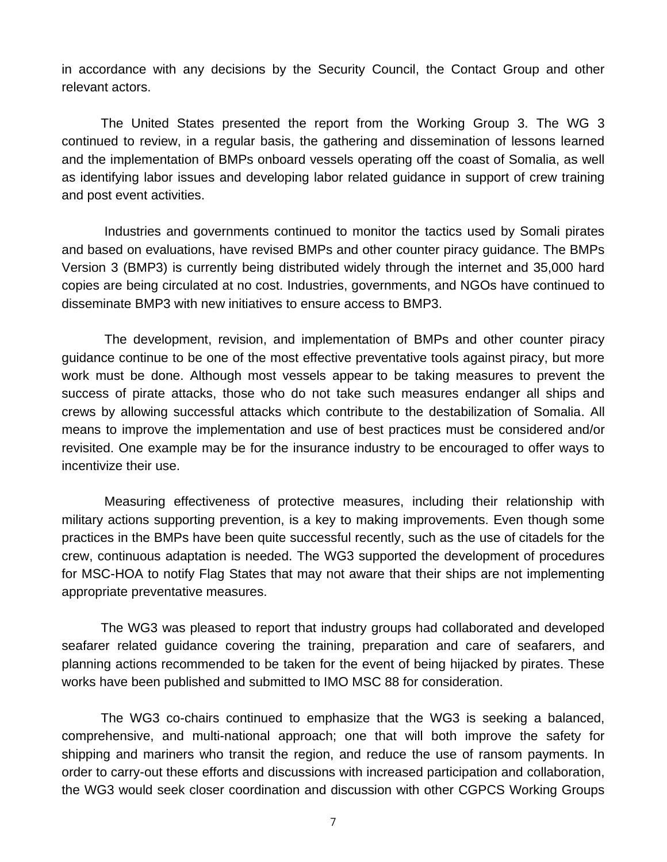in accordance with any decisions by the Security Council, the Contact Group and other relevant actors.

The United States presented the report from the Working Group 3. The WG 3 continued to review, in a regular basis, the gathering and dissemination of lessons learned and the implementation of BMPs onboard vessels operating off the coast of Somalia, as well as identifying labor issues and developing labor related guidance in support of crew training and post event activities.

Industries and governments continued to monitor the tactics used by Somali pirates and based on evaluations, have revised BMPs and other counter piracy guidance. The BMPs Version 3 (BMP3) is currently being distributed widely through the internet and 35,000 hard copies are being circulated at no cost. Industries, governments, and NGOs have continued to disseminate BMP3 with new initiatives to ensure access to BMP3.

The development, revision, and implementation of BMPs and other counter piracy guidance continue to be one of the most effective preventative tools against piracy, but more work must be done. Although most vessels appear to be taking measures to prevent the success of pirate attacks, those who do not take such measures endanger all ships and crews by allowing successful attacks which contribute to the destabilization of Somalia. All means to improve the implementation and use of best practices must be considered and/or revisited. One example may be for the insurance industry to be encouraged to offer ways to incentivize their use.

Measuring effectiveness of protective measures, including their relationship with military actions supporting prevention, is a key to making improvements. Even though some practices in the BMPs have been quite successful recently, such as the use of citadels for the crew, continuous adaptation is needed. The WG3 supported the development of procedures for MSC-HOA to notify Flag States that may not aware that their ships are not implementing appropriate preventative measures.

The WG3 was pleased to report that industry groups had collaborated and developed seafarer related guidance covering the training, preparation and care of seafarers, and planning actions recommended to be taken for the event of being hijacked by pirates. These works have been published and submitted to IMO MSC 88 for consideration.

The WG3 co-chairs continued to emphasize that the WG3 is seeking a balanced, comprehensive, and multi-national approach; one that will both improve the safety for shipping and mariners who transit the region, and reduce the use of ransom payments. In order to carry-out these efforts and discussions with increased participation and collaboration, the WG3 would seek closer coordination and discussion with other CGPCS Working Groups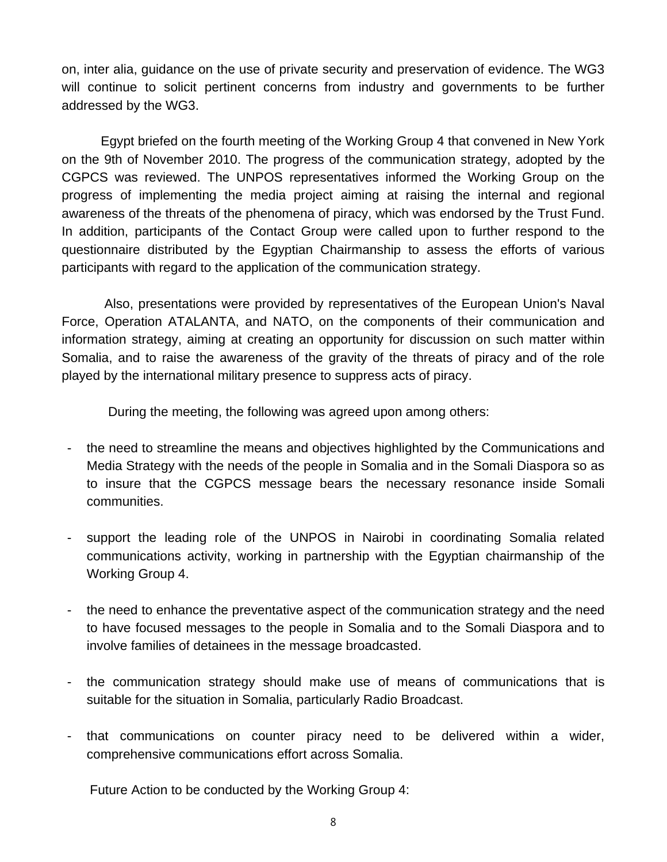on, inter alia, guidance on the use of private security and preservation of evidence. The WG3 will continue to solicit pertinent concerns from industry and governments to be further addressed by the WG3.

Egypt briefed on the fourth meeting of the Working Group 4 that convened in New York on the 9th of November 2010. The progress of the communication strategy, adopted by the CGPCS was reviewed. The UNPOS representatives informed the Working Group on the progress of implementing the media project aiming at raising the internal and regional awareness of the threats of the phenomena of piracy, which was endorsed by the Trust Fund. In addition, participants of the Contact Group were called upon to further respond to the questionnaire distributed by the Egyptian Chairmanship to assess the efforts of various participants with regard to the application of the communication strategy.

Also, presentations were provided by representatives of the European Union's Naval Force, Operation ATALANTA, and NATO, on the components of their communication and information strategy, aiming at creating an opportunity for discussion on such matter within Somalia, and to raise the awareness of the gravity of the threats of piracy and of the role played by the international military presence to suppress acts of piracy.

During the meeting, the following was agreed upon among others:

- the need to streamline the means and objectives highlighted by the Communications and Media Strategy with the needs of the people in Somalia and in the Somali Diaspora so as to insure that the CGPCS message bears the necessary resonance inside Somali communities.
- support the leading role of the UNPOS in Nairobi in coordinating Somalia related communications activity, working in partnership with the Egyptian chairmanship of the Working Group 4.
- the need to enhance the preventative aspect of the communication strategy and the need to have focused messages to the people in Somalia and to the Somali Diaspora and to involve families of detainees in the message broadcasted.
- the communication strategy should make use of means of communications that is suitable for the situation in Somalia, particularly Radio Broadcast.
- that communications on counter piracy need to be delivered within a wider, comprehensive communications effort across Somalia.

Future Action to be conducted by the Working Group 4: